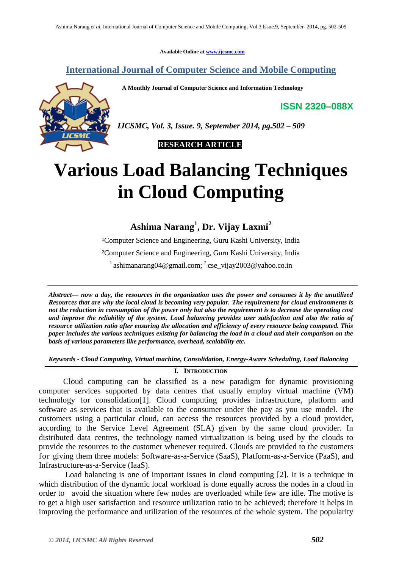**Available Online at [www.ijcsmc.com](http://www.ijcsmc.com/)**

**International Journal of Computer Science and Mobile Computing**

 **A Monthly Journal of Computer Science and Information Technology**

**ISSN 2320–088X**



*IJCSMC, Vol. 3, Issue. 9, September 2014, pg.502 – 509*

 **RESEARCH ARTICLE**

# **Various Load Balancing Techniques in Cloud Computing**

**Ashima Narang<sup>1</sup> , Dr. Vijay Laxmi<sup>2</sup>**

<sup>1</sup>Computer Science and Engineering, Guru Kashi University, India ²Computer Science and Engineering, Guru Kashi University, India  $\frac{1}{2}$ ashimanarang04@gmail.com;  $\frac{2}{2}$ cse\_vijay2003@yahoo.co.in

*Abstract— now a day, the resources in the organization uses the power and consumes it by the unutilized Resources that are why the local cloud is becoming very popular. The requirement for cloud environments is not the reduction in consumption of the power only but also the requirement is to decrease the operating cost and improve the reliability of the system. Load balancing provides user satisfaction and also the ratio of resource utilization ratio after ensuring the allocation and efficiency of every resource being computed. This paper includes the various techniques existing for balancing the load in a cloud and their comparison on the basis of various parameters like performance, overhead, scalability etc.*

*Keywords - Cloud Computing, Virtual machine, Consolidation, Energy-Aware Scheduling, Load Balancing*

#### **I. INTRODUCTION**

Cloud computing can be classified as a new paradigm for dynamic provisioning computer services supported by data centres that usually employ virtual machine (VM) technology for consolidation[1]. Cloud computing provides infrastructure, platform and software as services that is available to the consumer under the pay as you use model. The customers using a particular cloud, can access the resources provided by a cloud provider, according to the Service Level Agreement (SLA) given by the same cloud provider. In distributed data centres, the technology named virtualization is being used by the clouds to provide the resources to the customer whenever required. Clouds are provided to the customers for giving them three models: Software-as-a-Service (SaaS), Platform-as-a-Service (PaaS), and Infrastructure-as-a-Service (IaaS).

Load balancing is one of important issues in cloud computing [2]. It is a technique in which distribution of the dynamic local workload is done equally across the nodes in a cloud in order to avoid the situation where few nodes are overloaded while few are idle. The motive is to get a high user satisfaction and resource utilization ratio to be achieved; therefore it helps in improving the performance and utilization of the resources of the whole system. The popularity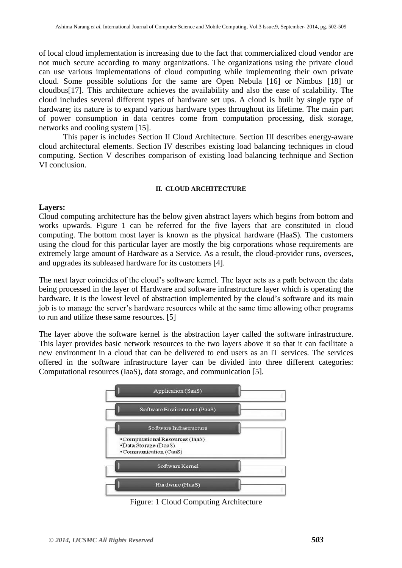of local cloud implementation is increasing due to the fact that commercialized cloud vendor are not much secure according to many organizations. The organizations using the private cloud can use various implementations of cloud computing while implementing their own private cloud. Some possible solutions for the same are Open Nebula [16] or Nimbus [18] or cloudbus[17]. This architecture achieves the availability and also the ease of scalability. The cloud includes several different types of hardware set ups. A cloud is built by single type of hardware; its nature is to expand various hardware types throughout its lifetime. The main part of power consumption in data centres come from computation processing, disk storage, networks and cooling system [15].

This paper is includes Section II Cloud Architecture. Section III describes energy-aware cloud architectural elements. Section IV describes existing load balancing techniques in cloud computing. Section V describes comparison of existing load balancing technique and Section VI conclusion.

## **II. CLOUD ARCHITECTURE**

## **Layers:**

Cloud computing architecture has the below given abstract layers which begins from bottom and works upwards. Figure 1 can be referred for the five layers that are constituted in cloud computing. The bottom most layer is known as the physical hardware (HaaS). The customers using the cloud for this particular layer are mostly the big corporations whose requirements are extremely large amount of Hardware as a Service. As a result, the cloud-provider runs, oversees, and upgrades its subleased hardware for its customers [4].

The next layer coincides of the cloud's software kernel. The layer acts as a path between the data being processed in the layer of Hardware and software infrastructure layer which is operating the hardware. It is the lowest level of abstraction implemented by the cloud's software and its main job is to manage the server's hardware resources while at the same time allowing other programs to run and utilize these same resources. [5]

The layer above the software kernel is the abstraction layer called the software infrastructure. This layer provides basic network resources to the two layers above it so that it can facilitate a new environment in a cloud that can be delivered to end users as an IT services. The services offered in the software infrastructure layer can be divided into three different categories: Computational resources (IaaS), data storage, and communication [5].



Figure: 1 Cloud Computing Architecture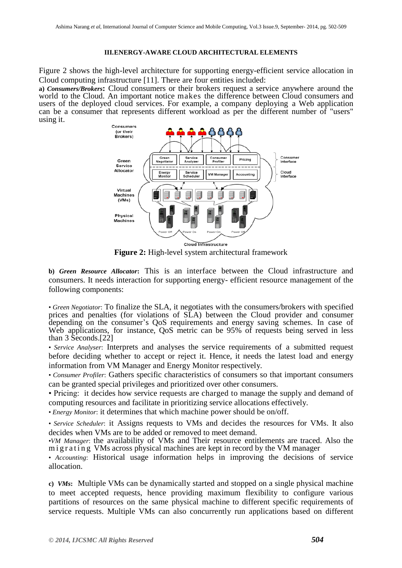#### **III.ENERGY-AWARE CLOUD ARCHITECTURAL ELEMENTS**

Figure 2 shows the high-level architecture for supporting energy-efficient service allocation in Cloud computing infrastructure [11]. There are four entities included:

**a)** *Consumers/Brokers***:** Cloud consumers or their brokers request a service anywhere around the world to the Cloud. An important notice makes the difference between Cloud consumers and users of the deployed cloud services. For example, a company deploying a Web application can be a consumer that represents different workload as per the different number of "users" using it.



**Figure 2:** High-level system architectural framework

**b)** *Green Resource Allocator***:** This is an interface between the Cloud infrastructure and consumers. It needs interaction for supporting energy- efficient resource management of the following components:

• *Green Negotiator*: To finalize the SLA, it negotiates with the consumers/brokers with specified prices and penalties (for violations of SLA) between the Cloud provider and consumer depending on the consumer's QoS requirements and energy saving schemes. In case of Web applications, for instance, QoS metric can be 95% of requests being served in less than 3 Seconds.[22]

• *Service Analyser*: Interprets and analyses the service requirements of a submitted request before deciding whether to accept or reject it. Hence, it needs the latest load and energy information from VM Manager and Energy Monitor respectively.

• *Consumer Profiler*: Gathers specific characteristics of consumers so that important consumers can be granted special privileges and prioritized over other consumers.

• Pricing: it decides how service requests are charged to manage the supply and demand of computing resources and facilitate in prioritizing service allocations effectively.

• *Energy Monitor*: it determines that which machine power should be on/off.

• *Service Scheduler*: it Assigns requests to VMs and decides the resources for VMs. It also decides when VMs are to be added or removed to meet demand.

•*VM Manager*: the availability of VMs and Their resource entitlements are traced. Also the migrating VMs across physical machines are kept in record by the VM manager

• *Accounting*: Historical usage information helps in improving the decisions of service allocation.

**c)** *VMs***:** Multiple VMs can be dynamically started and stopped on a single physical machine to meet accepted requests, hence providing maximum flexibility to configure various partitions of resources on the same physical machine to different specific requirements of service requests. Multiple VMs can also concurrently run applications based on different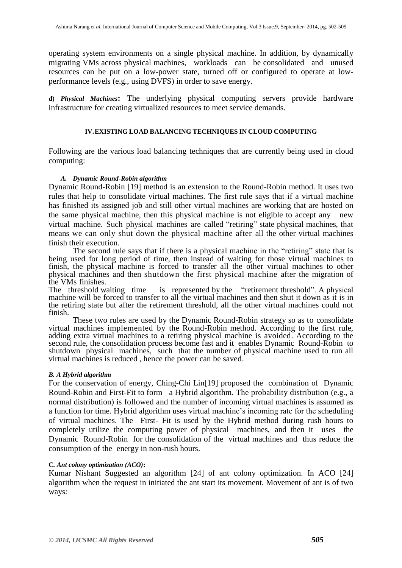operating system environments on a single physical machine. In addition, by dynamically migrating VMs across physical machines, workloads can be consolidated and unused resources can be put on a low-power state, turned off or configured to operate at lowperformance levels (e.g., using DVFS) in order to save energy.

**d)** *Physical Machines***:** The underlying physical computing servers provide hardware infrastructure for creating virtualized resources to meet service demands.

#### **IV.EXISTING LOAD BALANCING TECHNIQUES IN CLOUD COMPUTING**

Following are the various load balancing techniques that are currently being used in cloud computing:

## *A. Dynamic Round-Robin algorithm*

Dynamic Round-Robin [19] method is an extension to the Round-Robin method. It uses two rules that help to consolidate virtual machines. The first rule says that if a virtual machine has finished its assigned job and still other virtual machines are working that are hosted on the same physical machine, then this physical machine is not eligible to accept any new virtual machine. Such physical machines are called "retiring" state physical machines, that means we can only shut down the physical machine after all the other virtual machines finish their execution.

The second rule says that if there is a physical machine in the "retiring" state that is being used for long period of time, then instead of waiting for those virtual machines to finish, the physical machine is forced to transfer all the other virtual machines to other physical machines and then shutdown the first physical machine after the migration of the VMs finishes.<br>The threshold waiting time

is represented by the "retirement threshold". A physical machine will be forced to transfer to all the virtual machines and then shut it down as it is in the retiring state but after the retirement threshold, all the other virtual machines could not finish.

These two rules are used by the Dynamic Round-Robin strategy so as to consolidate virtual machines implemented by the Round-Robin method. According to the first rule, adding extra virtual machines to a retiring physical machine is avoided. According to the second rule, the consolidation process become fast and it enables Dynamic Round-Robin to shutdown physical machines, such that the number of physical machine used to run all virtual machines is reduced , hence the power can be saved.

#### *B. A Hybrid algorithm*

For the conservation of energy, Ching-Chi Lin[19] proposed the combination of Dynamic Round-Robin and First-Fit to form a Hybrid algorithm. The probability distribution (e.g., a normal distribution) is followed and the number of incoming virtual machines is assumed as a function for time. Hybrid algorithm uses virtual machine's incoming rate for the scheduling of virtual machines. The First- Fit is used by the Hybrid method during rush hours to completely utilize the computing power of physical machines, and then it uses the Dynamic Round-Robin for the consolidation of the virtual machines and thus reduce the consumption of the energy in non-rush hours.

#### **C***. Ant colony optimization (ACO)***:**

Kumar Nishant Suggested an algorithm [24] of ant colony optimization. In ACO [24] algorithm when the request in initiated the ant start its movement. Movement of ant is of two ways*:*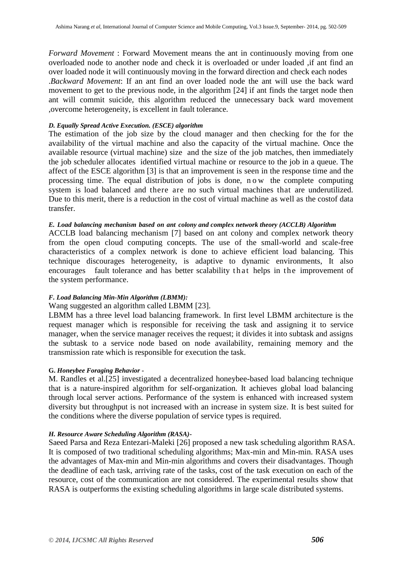*Forward Movement* : Forward Movement means the ant in continuously moving from one overloaded node to another node and check it is overloaded or under loaded ,if ant find an over loaded node it will continuously moving in the forward direction and check each nodes .*Backward Movement*: If an ant find an over loaded node the ant will use the back ward movement to get to the previous node, in the algorithm [24] if ant finds the target node then ant will commit suicide, this algorithm reduced the unnecessary back ward movement ,overcome heterogeneity, is excellent in fault tolerance.

#### *D. Equally Spread Active Execution. (ESCE) algorithm*

The estimation of the job size by the cloud manager and then checking for the for the availability of the virtual machine and also the capacity of the virtual machine. Once the available resource (virtual machine) size and the size of the job matches, then immediately the job scheduler allocates identified virtual machine or resource to the job in a queue. The affect of the ESCE algorithm [3] is that an improvement is seen in the response time and the processing time. The equal distribution of jobs is done, n o w the complete computing system is load balanced and there are no such virtual machines that are underutilized. Due to this merit, there is a reduction in the cost of virtual machine as well as the costof data transfer.

#### *E. Load balancing mechanism based on ant colony and complex network theory (ACCLB) Algorithm*

ACCLB load balancing mechanism [7] based on ant colony and complex network theory from the open cloud computing concepts. The use of the small-world and scale-free characteristics of a complex network is done to achieve efficient load balancing. This technique discourages heterogeneity, is adaptive to dynamic environments, It also encourages fault tolerance and has better scalability that helps in the improvement of the system performance.

#### *F. Load Balancing Min-Min Algorithm (LBMM):*

# Wang suggested an algorithm called LBMM [23].

LBMM has a three level load balancing framework. In first level LBMM architecture is the request manager which is responsible for receiving the task and assigning it to service manager, when the service manager receives the request; it divides it into subtask and assigns the subtask to a service node based on node availability, remaining memory and the transmission rate which is responsible for execution the task.

#### **G.** *Honeybee Foraging Behavior* **-**

M. Randles et al.[25] investigated a decentralized honeybee-based load balancing technique that is a nature-inspired algorithm for self-organization. It achieves global load balancing through local server actions. Performance of the system is enhanced with increased system diversity but throughput is not increased with an increase in system size. It is best suited for the conditions where the diverse population of service types is required.

#### *H. Resource Aware Scheduling Algorithm (RASA)-*

Saeed Parsa and Reza Entezari-Maleki [26] proposed a new task scheduling algorithm RASA. It is composed of two traditional scheduling algorithms; Max-min and Min-min. RASA uses the advantages of Max-min and Min-min algorithms and covers their disadvantages. Though the deadline of each task, arriving rate of the tasks, cost of the task execution on each of the resource, cost of the communication are not considered. The experimental results show that RASA is outperforms the existing scheduling algorithms in large scale distributed systems.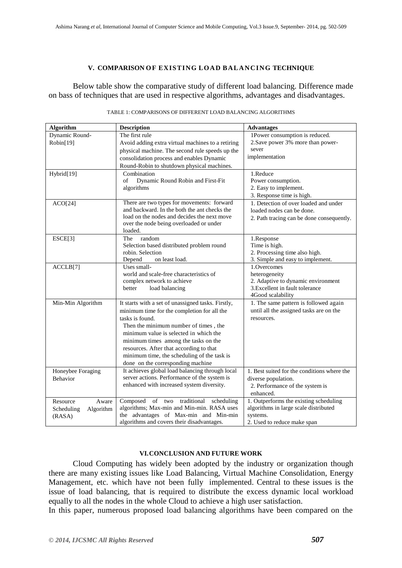#### **V. COMPARISON O F EXISTING LO AD B ALA NCI NG TECHNIQUE**

Below table show the comparative study of different load balancing. Difference made on bass of techniques that are used in respective algorithms, advantages and disadvantages.

| <b>Algorithm</b>                  | <b>Description</b>                                                                          | <b>Advantages</b>                                   |
|-----------------------------------|---------------------------------------------------------------------------------------------|-----------------------------------------------------|
| Dynamic Round-                    | The first rule                                                                              | 1Power consumption is reduced.                      |
| Robin[19]                         | Avoid adding extra virtual machines to a retiring                                           | 2. Save power 3% more than power-                   |
|                                   | physical machine. The second rule speeds up the                                             | sever                                               |
|                                   | consolidation process and enables Dynamic                                                   | implementation                                      |
|                                   | Round-Robin to shutdown physical machines.                                                  |                                                     |
| Hybrid[19]                        | Combination                                                                                 | 1.Reduce                                            |
|                                   | of<br>Dynamic Round Robin and First-Fit                                                     | Power consumption.                                  |
|                                   | algorithms                                                                                  | 2. Easy to implement.                               |
|                                   |                                                                                             | 3. Response time is high.                           |
| ACO[24]                           | There are two types for movements: forward                                                  | 1. Detection of over loaded and under               |
|                                   | and backward. In the both the ant checks the<br>load on the nodes and decides the next move | loaded nodes can be done.                           |
|                                   | over the node being overloaded or under                                                     | 2. Path tracing can be done consequently.           |
|                                   | loaded.                                                                                     |                                                     |
| ESCE[3]                           | random<br>The                                                                               | 1.Response                                          |
|                                   | Selection based distributed problem round                                                   | Time is high.                                       |
|                                   | robin. Selection                                                                            | 2. Processing time also high.                       |
|                                   | Depend<br>on least load.                                                                    | 3. Simple and easy to implement.                    |
| ACCLB[7]                          | Uses small-                                                                                 | 1.Overcomes                                         |
|                                   | world and scale-free characteristics of                                                     | heterogeneity                                       |
|                                   | complex network to achieve                                                                  | 2. Adaptive to dynamic environment                  |
|                                   | better<br>load balancing                                                                    | 3. Excellent in fault tolerance                     |
|                                   |                                                                                             | 4Good scalability                                   |
| Min-Min Algorithm                 | It starts with a set of unassigned tasks. Firstly,                                          | 1. The same pattern is followed again               |
|                                   | minimum time for the completion for all the                                                 | until all the assigned tasks are on the             |
|                                   | tasks is found.                                                                             | resources.                                          |
|                                   | Then the minimum number of times, the                                                       |                                                     |
|                                   | minimum value is selected in which the                                                      |                                                     |
|                                   | minimum times among the tasks on the                                                        |                                                     |
|                                   | resources. After that according to that                                                     |                                                     |
|                                   | minimum time, the scheduling of the task is                                                 |                                                     |
|                                   | done on the corresponding machine<br>It achieves global load balancing through local        |                                                     |
| Honeybee Foraging                 | server actions. Performance of the system is                                                | 1. Best suited for the conditions where the         |
| Behavior                          | enhanced with increased system diversity.                                                   | diverse population.                                 |
|                                   |                                                                                             | 2. Performance of the system is                     |
| Resource                          | of two traditional<br>Composed<br>scheduling                                                | enhanced.<br>1. Outperforms the existing scheduling |
| Aware                             | algorithms; Max-min and Min-min. RASA uses                                                  | algorithms in large scale distributed               |
| Algorithm<br>Scheduling<br>(RASA) | the advantages of Max-min and Min-min                                                       | systems.                                            |
|                                   | algorithms and covers their disadvantages.                                                  | 2. Used to reduce make span                         |

#### TABLE 1: COMPARISONS OF DIFFERENT LOAD BALANCING ALGORITHMS

#### **VI.CONCLUSION AND FUTURE WORK**

Cloud Computing has widely been adopted by the industry or organization though there are many existing issues like Load Balancing, Virtual Machine Consolidation, Energy Management, etc. which have not been fully implemented. Central to these issues is the issue of load balancing, that is required to distribute the excess dynamic local workload equally to all the nodes in the whole Cloud to achieve a high user satisfaction.

In this paper, numerous proposed load balancing algorithms have been compared on the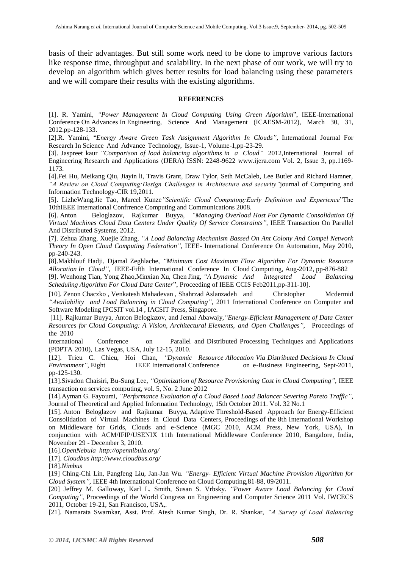basis of their advantages. But still some work need to be done to improve various factors like response time, throughput and scalability. In the next phase of our work, we will try to develop an algorithm which gives better results for load balancing using these parameters and we will compare their results with the existing algorithms.

#### **REFERENCES**

[1]. R. Yamini, *"Power Management In Cloud Computing Using Green Algorithm*", IEEE-International Conference On Advances In Engineering, Science And Management (ICAESM-2012), March 30, 31, 2012.pp-128-133.

[2].R. Yamini, "*Energy Aware Green Task Assignment Algorithm In Clouds"*, International Journal For Research In Science And Advance Technology, Issue-1, Volume-1,pp-23-29.

**[**3]. Jaspreet kaur *"Comparison of load balancing algorithms in a Cloud"* 2012,International Journal of Engineering Research and Applications (IJERA) ISSN: 2248-9622 [www.ijera.com](http://www.ijera.com/) Vol. 2, Issue 3, pp.1169- 1173.

[4].Fei Hu, Meikang Qiu, Jiayin li, Travis Grant, Draw Tylor, Seth McCaleb, Lee Butler and Richard Hamner, *"A Review on Cloud Computing:Design Challenges in Architecture and security"*journal of Computing and Information Technology-CIR 19,2011.

[5]. LizheWang,Jie Tao, Marcel Kunze*"Scientific Cloud Computing:Early Definition and Experience*"The 10thIEEE International Confrrence Computing and Communications 2008.

[6]. Anton Beloglazov, Rajkumar Buyya, *"Managing Overload Host For Dynamic Consolidation Of Virtual Machines Cloud Data Centers Under Quality Of Service Constraints"*, IEEE Transaction On Parallel And Distributed Systems, 2012.

[7]. Zehua Zhang, Xuejie Zhang, *"A Load Balancing Mechanism Bassed On Ant Colony And Compel Network Theory In Open Cloud Computing Federation"*, IEEE- International Conference On Automation, May 2010, pp-240-243.

[8].Makhlouf Hadji, Djamal Zeghlache, *"Minimum Cost Maximum Flow Algorithm For Dynamic Resource Allocation In Cloud"*, IEEE-Fifth International Conference In Cloud Computing, Aug-2012, pp-876-882

[9]. Wenhong Tian, Yong Zhao,Minxian Xu, Chen Jing, *"A Dynamic And Integrated Load Balancing Scheduling Algorithm For Cloud Data Center*", Proceeding of IEEE CCIS Feb2011,pp-311-10].

[10]. Zenon Chaczko , Venkatesh Mahadevan , Shahrzad Aslanzadeh and Christopher Mcdermid *"Availability and Load Balancing in Cloud Computing"*, 2011 International Conference on Computer and Software Modeling IPCSIT vol.14 , IACSIT Press, Singapore.

[11]. Rajkumar Buyya, Anton Beloglazov, and Jemal Abawajy*,"Energy-Efficient Management of Data Center Resources for Cloud Computing: A Vision, Architectural Elements, and Open Challenges"*, Proceedings of the 2010

International Conference on Parallel and Distributed Processing Techniques and Applications (PDPTA 2010), Las Vegas, USA, July 12-15, 2010.

[12]. Trieu C. Chieu, Hoi Chan, *"Dynamic Resource Allocation Via Distributed Decisions In Cloud Environment"*, Eight IEEE International Conference on e-Business Engineering, Sept-2011, pp-125-130.

[13].Sivadon Chaisiri, Bu-Sung Lee, *"Optimization of Resource Provisioning Cost in Cloud Computing"*, IEEE transaction on services computing, vol. 5, No. 2 June 2012

[14].Ayman G. Fayoumi, *"Performance Evaluation of a Cloud Based Load Balancer Severing Pareto Traffic"*, Journal of Theoretical and Applied Information Technology, 15th October 2011. Vol. 32 No.1

[15]. Anton Beloglazov and Rajkumar Buyya, Adaptive Threshold-Based [Approach for Energy-Efficient](http://www.cloudbus.org/papers/AdaptiveVMCloud-MGC2010.pdf) Consolidation of [Virtual Machines in Cloud Data Centers,](http://www.cloudbus.org/papers/AdaptiveVMCloud-MGC2010.pdf) Proceedings of the 8th International Workshop on Middleware for Grids, Clouds and e-Science (MGC 2010, ACM Press, New York, USA), In conjunction with ACM/IFIP/USENIX 11th International Middleware Conference 2010, Bangalore, India, November 29 - December 3, 2010.

[16].*OpenNebula <http://opennibula.org/>*

[17]. *Cloudbus <http://www.cloudbus.org/>*

[18].*Nimbus* 

[19] Ching-Chi Lin, Pangfeng Liu, Jan-Jan Wu. *"Energy- Efficient Virtual Machine Provision Algorithm for Cloud System"*, IEEE 4th International Conference on Cloud Computing,81-88, 09/2011.

[20] Jeffrey M. Galloway, Karl L. Smith, Susan S. Vrbsky. *"Power Aware Load Balancing for Cloud Computing"*, Proceedings of the World Congress on Engineering and Computer Science 2011 Vol. IWCECS 2011, October 19-21, San Francisco, USA,.

[21]. Namarata Swarnkar, Asst. Prof. Atesh Kumar Singh, Dr. R. Shankar, *"A Survey of Load Balancing*